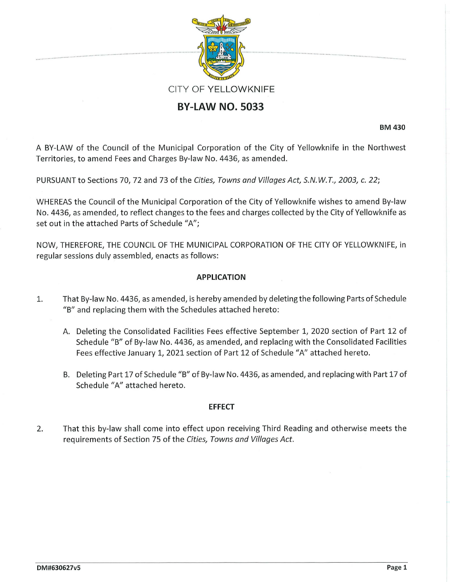

# **BY-LAW NO. 5033**

**BM 430** 

A BY-LAW of the Council of the Municipal Corporation of the City of Yellowknife in the Northwest Territories, to amend Fees and Charges By-law No. 4436, as amended.

PURSUANT to Sections 70, 72 and 73 of the *Cities, Towns and Villages Act, S.N. W. T., 2003,* c. *22;* 

WHEREAS the Council of the Municipal Corporation of the City of Yellowknife wishes to amend By-law No. 4436, as amended, to reflect changes to the fees and charges collected by the City of Yellowknife as set out in the attached Parts of Schedule "A";

NOW, THEREFORE, THE COUNCIL OF THE MUNICIPAL CORPORATION OF THE CITY OF YELLOWKNIFE, in regular sessions duly assembled, enacts as follows:

## **APPLICATION**

- 1. That By-law No. 4436, as amended, is hereby amended by deleting the following Parts of Schedule "B" and replacing them with the Schedules attached hereto:
	- A. Deleting the Consolidated Facilities Fees effective September 1, 2020 section of Part 12 of Schedule "B" of By-law No. 4436, as amended, and replacing with the Consolidated Facilities Fees effective January 1, 2021 section of Part 12 of Schedule "A" attached hereto.
	- B. Deleting Part 17 of Schedule "B" of By-law No. 4436, as amended, and replacing with Part 17 of Schedule "A" attached hereto.

### **EFFECT**

2. That this by-law shall come into effect upon receiving Third Reading and otherwise meets the requirements of Section 75 of the *Cities, Towns and Villages Act.*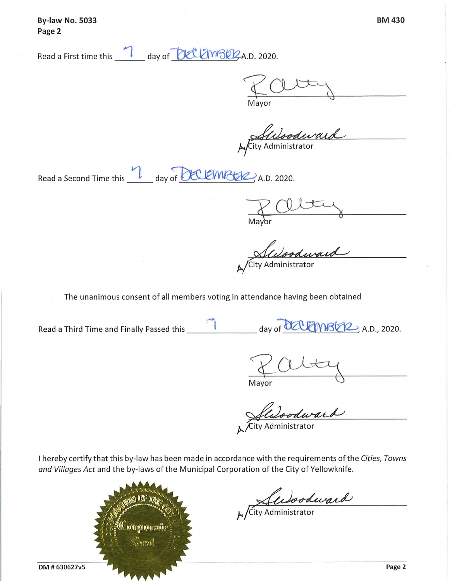**By-law No. 5033 Page 2** 

Read a First time this **1** day of **1:** UL 1008 2 A.D. 2020.

*z~*  Mayor

Autoriand

Read a Second Time this **view of BELEMBER**, A.D. 2020.

Mayor

City Administrator

The unanimous consent of all members voting in attendance having been obtained

**.-l** ~~,.,..,-, Read a Third Time and Finally Passed this \_\_\_\_\_\_\_ day of <sup>~</sup> ctr2--,>, A.D., 2020 .

Mayor

Jula odward

I hereby certify that this by-law has been made in accordance with the requirements of the *Cities, Towns and Villages Act* and the by-laws of the Municipal Corporation of the City of Yellowknife.



Culoodward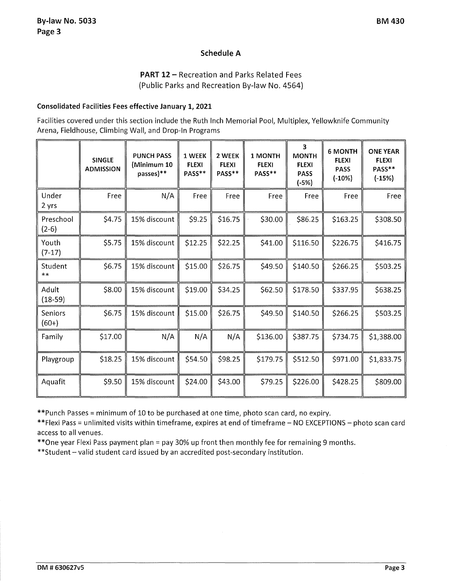## **Schedule A**

**PART 12 - Recreation and Parks Related Fees** (Public Parks and Recreation By-law No. 4564)

### **Consolidated Facilities Fees effective January 1, 2021**

Facilities covered under this section include the Ruth Inch Memorial Pool, Multiplex, Yellowknife Community Arena, Fieldhouse, Climbing Wall, and Drop-In Programs

|                      | <b>SINGLE</b><br><b>ADMISSION</b> | <b>PUNCH PASS</b><br>(Minimum 10<br>passes)** | 1 WEEK<br><b>FLEXI</b><br>PASS** | 2 WEEK<br><b>FLEXI</b><br>PASS** | 1 MONTH<br><b>FLEXI</b><br>PASS** | 3<br><b>MONTH</b><br><b>FLEXI</b><br><b>PASS</b><br>$(-5%)$ | <b>6 MONTH</b><br><b>FLEXI</b><br><b>PASS</b><br>$(-10%)$ | <b>ONE YEAR</b><br><b>FLEXI</b><br>PASS**<br>$(-15%)$ |
|----------------------|-----------------------------------|-----------------------------------------------|----------------------------------|----------------------------------|-----------------------------------|-------------------------------------------------------------|-----------------------------------------------------------|-------------------------------------------------------|
| Under<br>2 yrs       | Free                              | N/A                                           | Free                             | Free                             | Free                              | Free                                                        | Free                                                      | Free                                                  |
| Preschool<br>$(2-6)$ | \$4.75                            | 15% discount                                  | \$9.25                           | \$16.75                          | \$30.00                           | \$86.25                                                     | \$163.25                                                  | \$308.50                                              |
| Youth<br>$(7-17)$    | \$5.75                            | 15% discount                                  | \$12.25                          | \$22.25                          | \$41.00                           | \$116.50                                                    | \$226.75                                                  | \$416.75                                              |
| Student<br>$***$     | \$6.75                            | 15% discount                                  | \$15.00                          | \$26.75                          | \$49.50                           | \$140.50                                                    | \$266.25                                                  | \$503.25                                              |
| Adult<br>$(18-59)$   | \$8.00                            | 15% discount                                  | \$19.00                          | \$34.25                          | \$62.50                           | \$178.50                                                    | \$337.95                                                  | \$638.25                                              |
| Seniors<br>$(60+)$   | \$6.75                            | 15% discount                                  | \$15.00                          | \$26.75                          | \$49.50                           | \$140.50                                                    | \$266.25                                                  | \$503.25                                              |
| Family               | \$17.00                           | N/A                                           | N/A                              | N/A                              | \$136.00                          | \$387.75                                                    | \$734.75                                                  | \$1,388.00                                            |
| Playgroup            | \$18.25                           | 15% discount                                  | \$54.50                          | \$98.25                          | \$179.75                          | \$512.50                                                    | \$971.00                                                  | \$1,833.75                                            |
| Aquafit              | \$9.50                            | 15% discount                                  | \$24.00                          | \$43.00                          | \$79.25                           | \$226.00                                                    | \$428.25                                                  | \$809.00                                              |

\*\*Punch Passes= minimum of 10 to be purchased at one time, photo scan card, no expiry.

\*\*Flexi Pass = unlimited visits within timeframe, expires at end of timeframe - NO EXCEPTIONS - photo scan card access to all venues.

\*\*One year Flexi Pass payment plan = pay 30% up front then monthly fee for remaining 9 months.

\*\* Student - valid student card issued by an accredited post-secondary institution.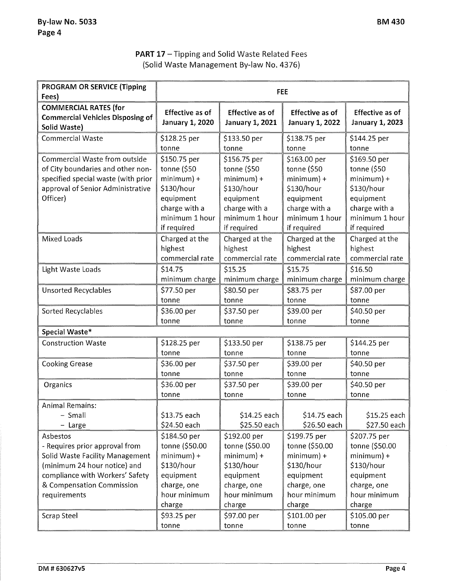## **PART 17** - Tipping and Solid Waste Related Fees (Solid Waste Management By-law No. 4376)

| <b>PROGRAM OR SERVICE (Tipping</b>            | <b>FEE</b>                 |                            |                            |                            |  |
|-----------------------------------------------|----------------------------|----------------------------|----------------------------|----------------------------|--|
| Fees)                                         |                            |                            |                            |                            |  |
| <b>COMMERCIAL RATES (for</b>                  | <b>Effective as of</b>     | <b>Effective as of</b>     | <b>Effective as of</b>     | <b>Effective as of</b>     |  |
| <b>Commercial Vehicles Disposing of</b>       | <b>January 1, 2020</b>     | <b>January 1, 2021</b>     | <b>January 1, 2022</b>     | <b>January 1, 2023</b>     |  |
| Solid Waste)                                  |                            |                            |                            |                            |  |
| <b>Commercial Waste</b>                       | \$128.25 per               | \$133.50 per               | \$138.75 per               | \$144.25 per               |  |
|                                               | tonne                      | tonne                      | tonne                      | tonne                      |  |
| Commercial Waste from outside                 | \$150.75 per               | \$156.75 per               | \$163.00 per               | \$169.50 per               |  |
| of City boundaries and other non-             | tonne (\$50                | tonne (\$50                | tonne (\$50                | tonne $(550$               |  |
| specified special waste (with prior           | $minimum$ +                | $minimum$ +                | $minimum$ ) +              | $minimum$ +<br>\$130/hour  |  |
| approval of Senior Administrative<br>Officer) | \$130/hour                 | \$130/hour                 | \$130/hour                 |                            |  |
|                                               | equipment<br>charge with a | equipment<br>charge with a | equipment<br>charge with a | equipment<br>charge with a |  |
|                                               | minimum 1 hour             | minimum 1 hour             | minimum 1 hour             | minimum 1 hour             |  |
|                                               | if required                | if required                | if required                | if required                |  |
| <b>Mixed Loads</b>                            | Charged at the             | Charged at the             | Charged at the             | Charged at the             |  |
|                                               | highest                    | highest                    | highest                    | highest                    |  |
|                                               | commercial rate            | commercial rate            | commercial rate            | commercial rate            |  |
| Light Waste Loads                             | \$14.75                    | \$15.25                    | \$15.75                    | \$16.50                    |  |
|                                               | minimum charge             | minimum charge             | minimum charge             | minimum charge             |  |
|                                               | \$77.50 per                | \$80.50 per                | \$83.75 per                | \$87.00 per                |  |
| <b>Unsorted Recyclables</b>                   | tonne                      | tonne                      | tonne                      | tonne                      |  |
|                                               |                            |                            |                            |                            |  |
| Sorted Recyclables                            | \$36.00 per<br>tonne       | \$37.50 per<br>tonne       | \$39.00 per<br>tonne       | \$40.50 per<br>tonne       |  |
|                                               |                            |                            |                            |                            |  |
| Special Waste*                                |                            |                            |                            |                            |  |
| <b>Construction Waste</b>                     | \$128.25 per               | \$133.50 per               | \$138.75 per               | \$144.25 per               |  |
|                                               | tonne                      | tonne                      | tonne                      | tonne                      |  |
| <b>Cooking Grease</b>                         | \$36.00 per                | \$37.50 per                | \$39.00 per                | \$40.50 per                |  |
|                                               | tonne                      | tonne                      | tonne                      | tonne                      |  |
| Organics                                      | \$36.00 per                | \$37.50 per                | \$39.00 per                | \$40.50 per                |  |
|                                               | tonne                      | tonne                      | tonne                      | tonne                      |  |
| <b>Animal Remains:</b>                        |                            |                            |                            |                            |  |
| - Small                                       | \$13.75 each               | \$14.25 each               | \$14.75 each               | \$15.25 each               |  |
| - Large                                       | \$24.50 each               | \$25.50 each               | \$26.50 each               | \$27.50 each               |  |
| Asbestos                                      | \$184.50 per               | \$192.00 per               | \$199.75 per               | \$207.75 per               |  |
| - Requires prior approval from                | tonne (\$50.00             | tonne (\$50.00             | tonne (\$50.00             | tonne (\$50.00             |  |
| Solid Waste Facility Management               | $minimum$ +                | $minimum$ ) +              | $minimum$ +                | $minimum$ +                |  |
| (minimum 24 hour notice) and                  | \$130/hour                 | \$130/hour                 | \$130/hour                 | \$130/hour                 |  |
| compliance with Workers' Safety               | equipment                  | equipment                  | equipment                  | equipment                  |  |
| & Compensation Commission                     | charge, one                | charge, one                | charge, one                | charge, one                |  |
| requirements                                  | hour minimum               | hour minimum               | hour minimum               | hour minimum               |  |
|                                               | charge                     | charge                     | charge                     | charge                     |  |
| <b>Scrap Steel</b>                            | \$93.25 per                | \$97.00 per                | \$101.00 per               | \$105.00 per               |  |
|                                               | tonne                      | tonne                      | tonne                      | tonne                      |  |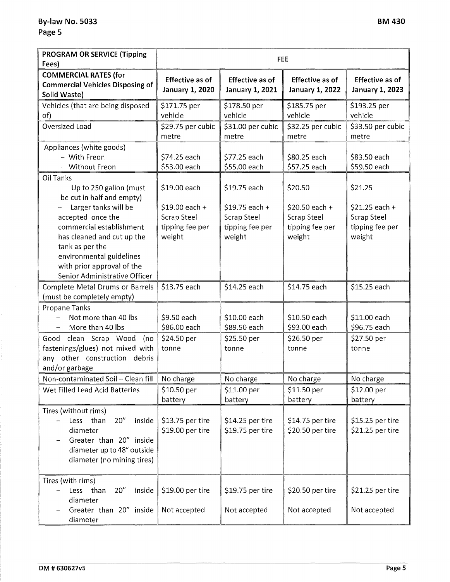| <b>PROGRAM OR SERVICE (Tipping</b><br>Fees)                                                                                                                          | <b>FEE</b>                                            |                                                  |                                                  |                                                  |  |
|----------------------------------------------------------------------------------------------------------------------------------------------------------------------|-------------------------------------------------------|--------------------------------------------------|--------------------------------------------------|--------------------------------------------------|--|
| <b>COMMERCIAL RATES (for</b><br><b>Commercial Vehicles Disposing of</b><br>Solid Waste)                                                                              | <b>Effective as of</b><br><b>January 1, 2020</b>      | <b>Effective as of</b><br><b>January 1, 2021</b> | <b>Effective as of</b><br><b>January 1, 2022</b> | <b>Effective as of</b><br><b>January 1, 2023</b> |  |
| Vehicles (that are being disposed                                                                                                                                    | \$171.75 per                                          | \$178.50 per                                     | \$185.75 per                                     | \$193.25 per                                     |  |
| of)<br><b>Oversized Load</b>                                                                                                                                         | vehicle<br>\$29.75 per cubic                          | vehicle<br>\$31.00 per cubic                     | vehicle<br>\$32.25 per cubic                     | vehicle<br>\$33.50 per cubic                     |  |
|                                                                                                                                                                      | metre                                                 | metre                                            | metre                                            | metre                                            |  |
| Appliances (white goods)<br>- With Freon<br>- Without Freon                                                                                                          | \$74.25 each<br>\$53.00 each                          | \$77.25 each<br>\$55.00 each                     | \$80.25 each<br>\$57.25 each                     | \$83.50 each<br>\$59.50 each                     |  |
| Oil Tanks<br>- Up to 250 gallon (must<br>be cut in half and empty)<br>Larger tanks will be<br>accepted once the                                                      | \$19.00 each<br>$$19.00$ each +<br><b>Scrap Steel</b> | \$19.75 each<br>$$19.75$ each +<br>Scrap Steel   | \$20.50<br>$$20.50$ each +<br><b>Scrap Steel</b> | \$21.25<br>$$21.25$ each +<br><b>Scrap Steel</b> |  |
| commercial establishment<br>has cleaned and cut up the<br>tank as per the<br>environmental guidelines<br>with prior approval of the<br>Senior Administrative Officer | tipping fee per<br>weight                             | tipping fee per<br>weight                        | tipping fee per<br>weight                        | tipping fee per<br>weight                        |  |
| Complete Metal Drums or Barrels<br>(must be completely empty)                                                                                                        | \$13.75 each                                          | \$14.25 each                                     | \$14.75 each                                     | \$15.25 each                                     |  |
| <b>Propane Tanks</b><br>Not more than 40 lbs<br>$\rightarrow$<br>More than 40 lbs                                                                                    | \$9.50 each<br>\$86.00 each                           | \$10.00 each<br>\$89.50 each                     | \$10.50 each<br>\$93.00 each                     | \$11.00 each<br>\$96.75 each                     |  |
| Good<br>clean Scrap Wood<br>(no<br>fastenings/glues) not mixed with<br>any other construction debris<br>and/or garbage                                               | \$24.50 per<br>tonne                                  | \$25.50 per<br>tonne                             | \$26.50 per<br>tonne                             | \$27.50 per<br>tonne                             |  |
| Non-contaminated Soil - Clean fill                                                                                                                                   | No charge                                             | No charge                                        | No charge                                        | No charge                                        |  |
| Wet Filled Lead Acid Batteries                                                                                                                                       | \$10.50 per<br>battery                                | $$11.00$ per<br>battery                          | \$11.50 per<br>battery                           | \$12.00 per<br>battery                           |  |
| Tires (without rims)<br>20''<br>inside<br>Less<br>than<br>diameter<br>Greater than 20" inside<br>diameter up to 48" outside<br>diameter (no mining tires)            | \$13.75 per tire<br>\$19.00 per tire                  | \$14.25 per tire<br>\$19.75 per tire             | \$14.75 per tire<br>\$20.50 per tire             | \$15.25 per tire<br>\$21.25 per tire             |  |
| Tires (with rims)<br>20''<br>inside<br>than<br>Less<br>diameter<br>Greater than 20" inside<br>diameter                                                               | \$19.00 per tire<br>Not accepted                      | \$19.75 per tire<br>Not accepted                 | \$20.50 per tire<br>Not accepted                 | \$21.25 per tire<br>Not accepted                 |  |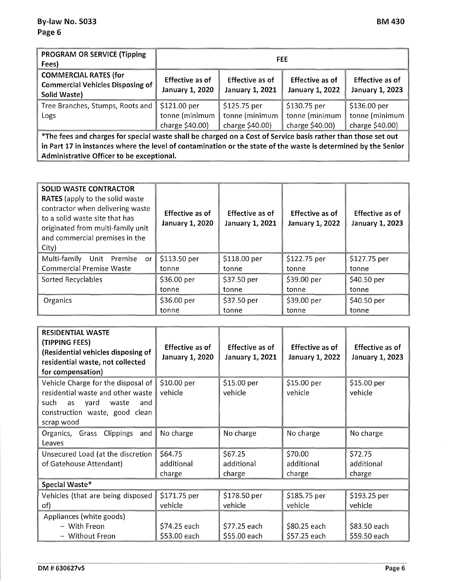| PROGRAM OR SERVICE (Tipping<br>Fees)                                                    | <b>FEE</b>                                        |                                                   |                                                   |                                                              |  |
|-----------------------------------------------------------------------------------------|---------------------------------------------------|---------------------------------------------------|---------------------------------------------------|--------------------------------------------------------------|--|
| <b>COMMERCIAL RATES (for</b><br><b>Commercial Vehicles Disposing of</b><br>Solid Waste) | <b>Effective as of</b><br>January 1, 2020         | <b>Effective as of</b><br>January 1, 2021         | <b>Effective as of</b><br>January 1, 2022         | <b>Effective as of</b><br>January 1, 2023                    |  |
| Tree Branches, Stumps, Roots and<br>Logs                                                | \$121.00 per<br>tonne (minimum<br>charge \$40.00) | \$125.75 per<br>tonne (minimum<br>charge \$40.00) | \$130.75 per<br>tonne (minimum<br>charge \$40.00) | $$136.00\,\mathrm{per}$<br>tonne (minimum<br>charge \$40.00) |  |

**\*The fees and charges for special waste shall be charged on a Cost of Service basis rather than those set out in Part 17 in instances where the level of contamination or the state of the waste is determined by the Senior Administrative Officer to be exceptional.** 

| <b>SOLID WASTE CONTRACTOR</b><br><b>RATES</b> (apply to the solid waste<br>contractor when delivering waste<br>to a solid waste site that has<br>originated from multi-family unit<br>and commercial premises in the<br>City) | Effective as of<br><b>January 1, 2020</b> | <b>Effective as of</b><br><b>January 1, 2021</b> | Effective as of<br><b>January 1, 2022</b> | Effective as of<br><b>January 1, 2023</b> |
|-------------------------------------------------------------------------------------------------------------------------------------------------------------------------------------------------------------------------------|-------------------------------------------|--------------------------------------------------|-------------------------------------------|-------------------------------------------|
| Multi-family Unit Premise<br><b>or</b>                                                                                                                                                                                        | \$113.50 per                              | \$118.00 per                                     | \$122.75 per                              | \$127.75 per                              |
| <b>Commercial Premise Waste</b>                                                                                                                                                                                               | tonne                                     | tonne                                            | tonne                                     | tonne                                     |
| Sorted Recyclables                                                                                                                                                                                                            | \$36.00 per                               | $$37.50$ per                                     | \$39.00 per                               | \$40.50 per                               |
|                                                                                                                                                                                                                               | tonne                                     | tonne                                            | tonne                                     | tonne                                     |
| Organics                                                                                                                                                                                                                      | \$36.00 per                               | \$37.50 per                                      | \$39.00 per                               | \$40.50 per                               |
|                                                                                                                                                                                                                               | tonne                                     | tonne                                            | tonne                                     | tonne                                     |

| <b>RESIDENTIAL WASTE</b><br>(TIPPING FEES)<br>(Residential vehicles disposing of<br>residential waste, not collected<br>for compensation)                     | Effective as of<br><b>January 1, 2020</b> | <b>Effective as of</b><br><b>January 1, 2021</b> | Effective as of<br><b>January 1, 2022</b> | Effective as of<br><b>January 1, 2023</b> |
|---------------------------------------------------------------------------------------------------------------------------------------------------------------|-------------------------------------------|--------------------------------------------------|-------------------------------------------|-------------------------------------------|
| Vehicle Charge for the disposal of<br>residential waste and other waste<br>such<br>yard<br>waste<br>as<br>and<br>construction waste, good clean<br>scrap wood | \$10.00 per<br>vehicle                    | \$15.00 per<br>vehicle                           | \$15.00 per<br>vehicle                    | $$15.00$ per<br>vehicle                   |
| Clippings and<br>Organics, Grass<br>Leaves                                                                                                                    | No charge                                 | No charge                                        | No charge                                 | No charge                                 |
| Unsecured Load (at the discretion                                                                                                                             | \$64.75                                   | \$67.25                                          | \$70.00                                   | \$72.75                                   |
| of Gatehouse Attendant)                                                                                                                                       | additional                                | additional                                       | additional                                | additional                                |
|                                                                                                                                                               | charge                                    | charge                                           | charge                                    | charge                                    |
| Special Waste*                                                                                                                                                |                                           |                                                  |                                           |                                           |
| Vehicles (that are being disposed                                                                                                                             | \$171.75 per                              | \$178.50 per                                     | \$185.75 per                              | \$193.25 per                              |
| of)                                                                                                                                                           | vehicle                                   | vehicle                                          | vehicle                                   | vehicle                                   |
| Appliances (white goods)                                                                                                                                      |                                           |                                                  |                                           |                                           |
| - With Freon                                                                                                                                                  | \$74.25 each                              | \$77.25 each                                     | \$80.25 each                              | \$83.50 each                              |
| - Without Freon                                                                                                                                               | \$53.00 each                              | \$55.00 each                                     | \$57.25 each                              | \$59.50 each                              |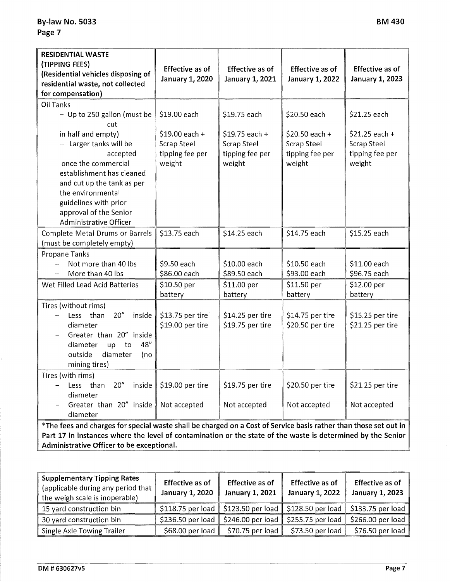| <b>RESIDENTIAL WASTE</b><br>(TIPPING FEES)<br>(Residential vehicles disposing of<br>residential waste, not collected<br>for compensation)                                                                                                    | <b>Effective as of</b><br><b>January 1, 2020</b>            | <b>Effective as of</b><br>January 1, 2021                          | <b>Effective as of</b><br><b>January 1, 2022</b>                  | <b>Effective as of</b><br><b>January 1, 2023</b>                   |  |
|----------------------------------------------------------------------------------------------------------------------------------------------------------------------------------------------------------------------------------------------|-------------------------------------------------------------|--------------------------------------------------------------------|-------------------------------------------------------------------|--------------------------------------------------------------------|--|
|                                                                                                                                                                                                                                              |                                                             |                                                                    |                                                                   |                                                                    |  |
| <b>Oil Tanks</b><br>- Up to 250 gallon (must be<br>cut                                                                                                                                                                                       | \$19.00 each                                                | \$19.75 each                                                       | \$20.50 each                                                      | \$21.25 each                                                       |  |
| in half and empty)<br>- Larger tanks will be<br>accepted<br>once the commercial<br>establishment has cleaned<br>and cut up the tank as per<br>the environmental<br>guidelines with prior<br>approval of the Senior<br>Administrative Officer | $$19.00$ each +<br>Scrap Steel<br>tipping fee per<br>weight | $$19.75$ each +<br><b>Scrap Steel</b><br>tipping fee per<br>weight | \$20.50 each +<br><b>Scrap Steel</b><br>tipping fee per<br>weight | $$21.25$ each +<br><b>Scrap Steel</b><br>tipping fee per<br>weight |  |
| Complete Metal Drums or Barrels<br>(must be completely empty)                                                                                                                                                                                | \$13.75 each                                                | \$14.25 each                                                       | \$14.75 each                                                      | \$15.25 each                                                       |  |
| <b>Propane Tanks</b>                                                                                                                                                                                                                         |                                                             |                                                                    |                                                                   |                                                                    |  |
| Not more than 40 lbs<br>More than 40 lbs                                                                                                                                                                                                     | \$9.50 each<br>\$86.00 each                                 | \$10.00 each<br>\$89.50 each                                       | \$10.50 each<br>\$93.00 each                                      | \$11.00 each<br>\$96.75 each                                       |  |
| Wet Filled Lead Acid Batteries                                                                                                                                                                                                               | \$10.50 per<br>battery                                      | \$11.00 per<br>battery                                             | \$11.50 per<br>battery                                            | \$12.00 per<br>battery                                             |  |
| Tires (without rims)<br>20''<br>than<br>inside<br>Less<br>diameter<br>Greater than 20" inside<br>48"<br>diameter<br>up<br>to<br>outside<br>diameter<br>(no<br>mining tires)                                                                  | \$13.75 per tire<br>\$19.00 per tire                        | \$14.25 per tire<br>\$19.75 per tire                               | \$14.75 per tire<br>\$20.50 per tire                              | \$15.25 per tire<br>\$21.25 per tire                               |  |
| Tires (with rims)                                                                                                                                                                                                                            |                                                             |                                                                    |                                                                   |                                                                    |  |
| 20''<br>than<br>inside<br>Less<br>diameter                                                                                                                                                                                                   | \$19.00 per tire                                            | \$19.75 per tire                                                   | \$20.50 per tire                                                  | \$21.25 per tire                                                   |  |
| Greater than 20" inside<br>diameter                                                                                                                                                                                                          | Not accepted                                                | Not accepted                                                       | Not accepted                                                      | Not accepted                                                       |  |
| *The fees and charges for special waste shall be charged on a Cost of Service basis rather than those set out in                                                                                                                             |                                                             |                                                                    |                                                                   |                                                                    |  |

**Part 17 in instances where the level of contamination or the state of the waste is determined by the Senior Administrative Officer to be exceptional.** 

| <b>Supplementary Tipping Rates</b><br>(applicable during any period that<br>the weigh scale is inoperable) | <b>Effective as of</b><br><b>January 1, 2020</b> | <b>Effective as of</b><br>January 1, 2021                   | <b>Effective as of</b><br><b>January 1, 2022</b> | <b>Effective as of</b><br>January 1, 2023 |
|------------------------------------------------------------------------------------------------------------|--------------------------------------------------|-------------------------------------------------------------|--------------------------------------------------|-------------------------------------------|
| 15 yard construction bin                                                                                   |                                                  | $$118.75$ per load $$123.50$ per load $$128.50$ per load    |                                                  | $$133.75$ per load                        |
| 30 yard construction bin                                                                                   | $$236.50$ per load                               | $\parallel$ \$246.00 per load $\parallel$ \$255.75 per load |                                                  | $$266.00$ per load                        |
| Single Axle Towing Trailer                                                                                 | \$68.00 per load                                 | \$70.75 per load                                            | \$73.50 per load                                 | \$76.50 per load                          |